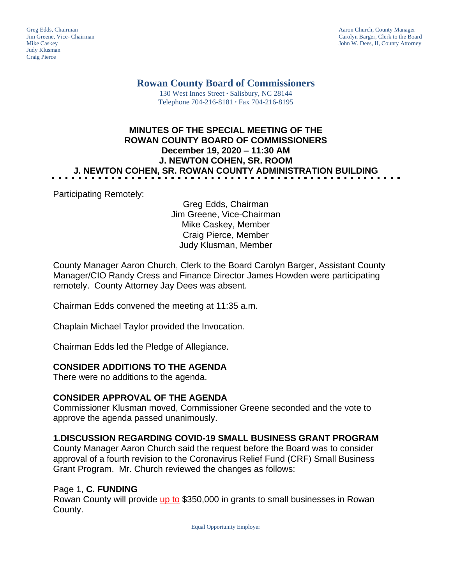Judy Klusman Craig Pierce

Greg Edds, Chairman Aaron Church, County Manager<br>
1989 - Garolyn Barger, Clerk to the Boa<br>
Carolyn Barger, Clerk to the Boa Jim Greene, Vice- Chairman Carolyn Barger, Clerk to the Board John W. Dees, II, County Attorney

**Rowan County Board of Commissioners**

130 West Innes Street **∙** Salisbury, NC 28144 Telephone 704-216-8181 **∙** Fax 704-216-8195

## **MINUTES OF THE SPECIAL MEETING OF THE ROWAN COUNTY BOARD OF COMMISSIONERS December 19, 2020 – 11:30 AM J. NEWTON COHEN, SR. ROOM J. NEWTON COHEN, SR. ROWAN COUNTY ADMINISTRATION BUILDING**

Participating Remotely:

Greg Edds, Chairman Jim Greene, Vice-Chairman Mike Caskey, Member Craig Pierce, Member Judy Klusman, Member

County Manager Aaron Church, Clerk to the Board Carolyn Barger, Assistant County Manager/CIO Randy Cress and Finance Director James Howden were participating remotely. County Attorney Jay Dees was absent.

Chairman Edds convened the meeting at 11:35 a.m.

Chaplain Michael Taylor provided the Invocation.

Chairman Edds led the Pledge of Allegiance.

## **CONSIDER ADDITIONS TO THE AGENDA**

There were no additions to the agenda.

## **CONSIDER APPROVAL OF THE AGENDA**

Commissioner Klusman moved, Commissioner Greene seconded and the vote to approve the agenda passed unanimously.

## **1.DISCUSSION REGARDING COVID-19 SMALL BUSINESS GRANT PROGRAM**

County Manager Aaron Church said the request before the Board was to consider approval of a fourth revision to the Coronavirus Relief Fund (CRF) Small Business Grant Program. Mr. Church reviewed the changes as follows:

#### Page 1, **C. FUNDING**

Rowan County will provide up to \$350,000 in grants to small businesses in Rowan County.